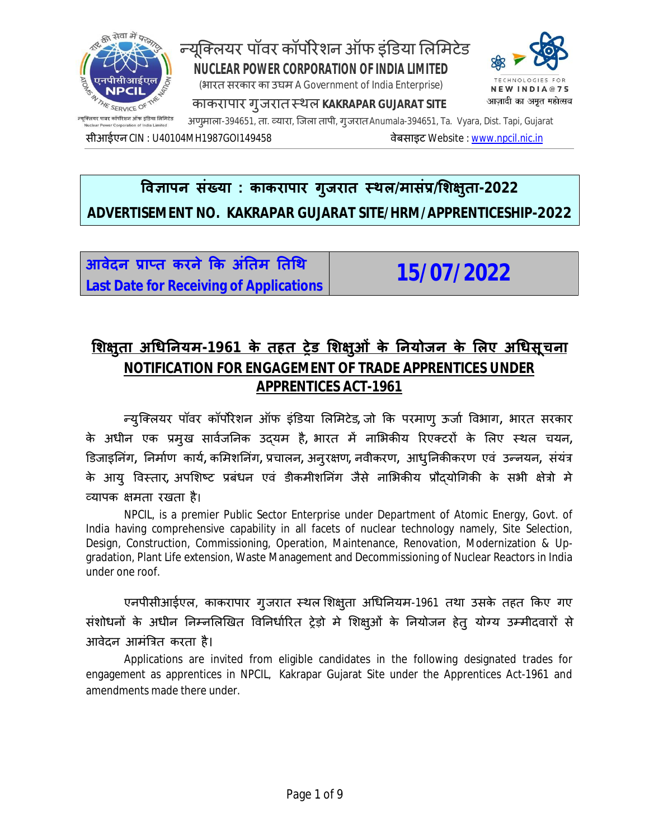

# **ͪव£ापन संÉया : काकरापार गुजरात èथल/मासंĤ/ͧश¢ुता-2022 ADVERTISEMENT NO. KAKRAPAR GUJARAT SITE/HRM/APPRENTICESHIP-2022**

<u>आवेदन प्राप्त करने कि अंतिम तिथि</u> **Last Date for Receiving of Applications 15/07/2022**

## **ͧश¢ुता अͬधǓनयम-1961 के तहत Ěेड ͧश¢ुओं के Ǔनयोजन के ͧलए अͬधसूचना NOTIFICATION FOR ENGAGEMENT OF TRADE APPRENTICES UNDER APPRENTICES ACT-1961**

Ûयु िÈलयर पॉवर कॉपȾरेशन ऑफ इंͫडया ͧलͧमटेड**,** जो ͩक परमाणु ऊजा[ ͪवभाग**,** भारत सरकार के अधीन एक प्रमुख सार्वजनिक उदयम है, भारत में नाभिकीय रिएक्टरों के लिए स्थल चयन, ͫडजाइǓनंग**,** Ǔनमा[ण काय[**,** कͧमशǓनंग**,** Ĥचालन**,** अनुर¢ण**,** नवीकरण**,** आधु Ǔनकȧकरण एवं उÛनयन**,** संयंğ के आयु विस्तार, अपशिष्ट प्रबंधन एवं डीकमीशनिंग जैसे नाभिकीय प्रौदयोगिकी के सभी क्षेत्रो मे åयापक ¢मता रखता है।

NPCIL, is a premier Public Sector Enterprise under Department of Atomic Energy, Govt. of India having comprehensive capability in all facets of nuclear technology namely, Site Selection, Design, Construction, Commissioning, Operation, Maintenance, Renovation, Modernization & Upgradation, Plant Life extension, Waste Management and Decommissioning of Nuclear Reactors in India under one roof.

एनपीसीआईएल, काकरापार गुजरात स्थल शिक्षुता अधिनियम-1961 तथा उसके तहत किए गए संशोधनों के अधीन निम्नलिखित विनिर्धारित ट्रेड़ो मे शिक्षुओं के नियोजन हेतु योग्य उम्मीदवारों से आवेदन आमंत्रित करता है।

Applications are invited from eligible candidates in the following designated trades for engagement as apprentices in NPCIL, Kakrapar Gujarat Site under the Apprentices Act-1961 and amendments made there under.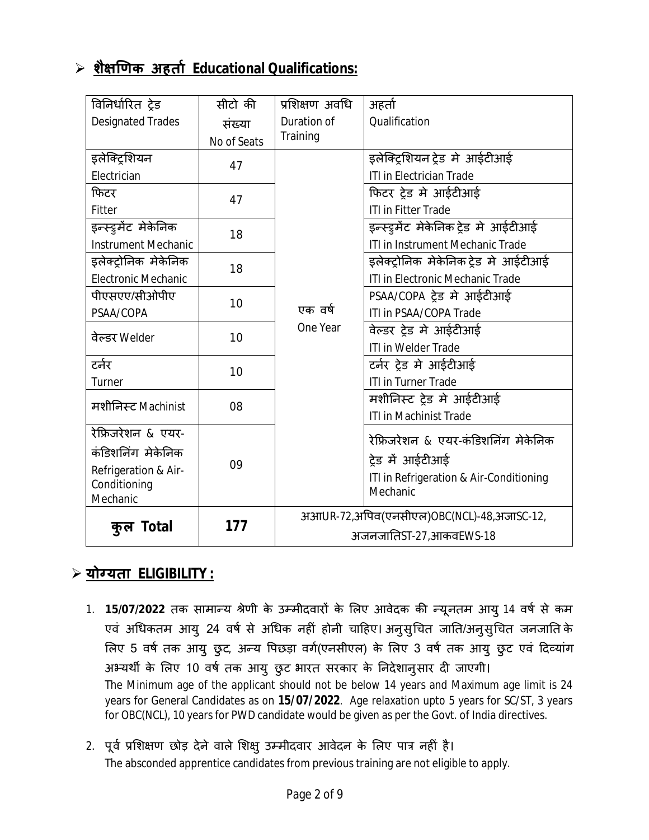## **शै¢ͨणक अहता[ Educational Qualifications:**

| विनिर्धारित ट्रेड          | सीटो की     | प्रशिक्षण अवधि         | अहर्ता                                              |  |
|----------------------------|-------------|------------------------|-----------------------------------------------------|--|
| <b>Designated Trades</b>   | संख्या      | Duration of            | Qualification                                       |  |
|                            | No of Seats | Training               |                                                     |  |
| इलेक्ट्रियन                | 47          |                        | इलेक्ट्रिशयन ट्रेड मे आईटीआई                        |  |
| Electrician                |             |                        | ITI in Electrician Trade                            |  |
| फिटर                       | 47          |                        | फिटर ट्रेड मे आईटीआई                                |  |
| Fitter                     |             |                        | <b>ITI in Fitter Trade</b>                          |  |
| इन्स्ड्रमेंट मेकेनिक       | 18          |                        | इन्स्ड्रुमेंट मेकेनिक ट्रेड मे आईटीआई               |  |
| <b>Instrument Mechanic</b> |             |                        | ITI in Instrument Mechanic Trade                    |  |
| इलेक्ट्रोनिक मेकेनिक       | 18          |                        | इलेक्ट्रोनिक मेकेनिक ट्रेड मे आईटीआई                |  |
| <b>Electronic Mechanic</b> |             |                        | ITI in Electronic Mechanic Trade                    |  |
| पीएसएए/सीओपीए              | 10          |                        | PSAA/COPA ट्रेड मे आईटीआई                           |  |
| PSAA/COPA                  |             | एक वर्ष<br>One Year    | <b>ITI in PSAA/COPA Trade</b>                       |  |
| वेल्डर Welder              | 10          |                        | वेल्डर ट्रेड मे आईटीआई                              |  |
|                            |             |                        | <b>ITI in Welder Trade</b>                          |  |
| टर्नर                      | 10          |                        | टर्नर ट्रेड मे आईटीआई                               |  |
| Turner                     |             |                        | <b>ITI in Turner Trade</b>                          |  |
| मशीनिस्ट Machinist         | 08          |                        | मशीनिस्ट ट्रेड मे आईटीआई                            |  |
|                            |             |                        | <b>ITI in Machinist Trade</b>                       |  |
| रेफ्रिजरेशन & एयर-         |             |                        | रेफ्रिजरेशन & एयर-कंडिशनिंग मेकेनिक                 |  |
| कंडिशनिंग मेकेनिक          |             |                        |                                                     |  |
| Refrigeration & Air-       | 09          |                        | ट्रेड में आईटीआई                                    |  |
| Conditioning               |             |                        | ITI in Refrigeration & Air-Conditioning<br>Mechanic |  |
| Mechanic                   |             |                        |                                                     |  |
|                            | 177         |                        | अआUR-72,अपिव(एनसीएल)OBC(NCL)-48,अजाSC-12,           |  |
| कुल Total                  |             | अजनजातिST-27,आकवEWS-18 |                                                     |  |

## **योÊयता ELIGIBILITY :**

- 1. **15/07/2022** तक सामान्य श्रेणी के उम्मीदवारों के लिए आवेदक की न्यूनतम आयु 14 वर्ष से कम एवं अधिकतम आयु 24 वर्ष से अधिक नहीं होनी चाहिए। अनुसुचित जाति/अनुसुचित जनजाति के लिए 5 वर्ष तक आयु छुट, अन्य पिछड़ा वर्ग(एनसीएल) के लिए 3 वर्ष तक आयु छुट एवं दिव्यांग अभ्यर्थी के लिए 10 वर्ष तक आयु छुट भारत सरकार के निदेशानुसार दी जाएगी। The Minimum age of the applicant should not be below 14 years and Maximum age limit is 24 years for General Candidates as on **15/07/2022**. Age relaxation upto 5 years for SC/ST, 3 years for OBC(NCL), 10 years for PWD candidate would be given as per the Govt. of India directives.
- 2. पूर्व प्रशिक्षण छोड़ देने वाले शिक्षु उम्मीदवार आवेदन के लिए पात्र नहीं है। The absconded apprentice candidates from previous training are not eligible to apply.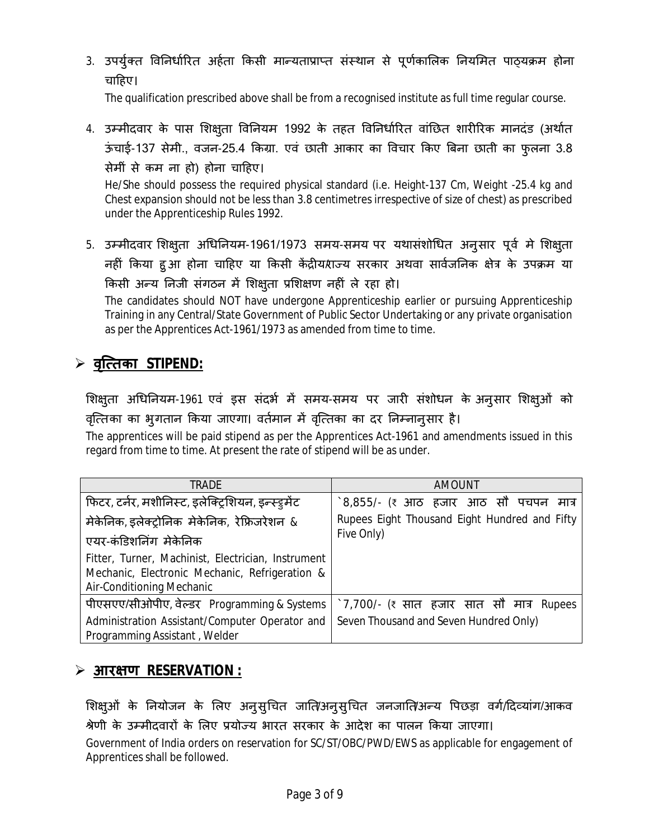3. उपर्युक्त विनिर्धारित अर्हता किसी मान्यताप्राप्त संस्थान से पूर्णकालिक नियमित पाठ्यक्रम होना चाहिए।

The qualification prescribed above shall be from a recognised institute as full time regular course.

4. उम्मीदवार के पास शिक्षुता विनियम 1992 के तहत विनिर्धारित वांछित शारीरिक मानदंड (अर्थात ऊंचाई-137 सेमी., वजन-25.4 किग्रा. एवं छाती आकार का विचार किए बिना छाती का फुलना 3.8 सेमीं से कम ना हो) होना चाǑहए।

He/She should possess the required physical standard (i.e. Height-137 Cm, Weight -25.4 kg and Chest expansion should not be less than 3.8 centimetres irrespective of size of chest) as prescribed under the Apprenticeship Rules 1992.

5. उम्मीदवार शिक्षुता अधिनियम-1961/1973 समय-समय पर यथासंशोधित अनुसार पूर्व मे शिक्षुता नहीं किया हुआ होना चाहिए या किसी केंद्रीयराज्य सरकार अथवा सार्वजनिक क्षेत्र के उपक्रम या किसी अन्य निजी संगठन में शिक्ष्ता प्रशिक्षण नहीं ले रहा हो।

The candidates should NOT have undergone Apprenticeship earlier or pursuing Apprenticeship Training in any Central/State Government of Public Sector Undertaking or any private organisation as per the Apprentices Act-1961/1973 as amended from time to time.

## **वृि×तका STIPEND:**

शिक्षुता अधिनियम-1961 एवं इस संदर्भ में समय-समय पर जारी संशोधन के अनुसार शिक्षुओं को वृत्तिका का भुगतान किया जाएगा। वर्तमान में वृत्तिका का दर निम्नानुसार है।

The apprentices will be paid stipend as per the Apprentices Act-1961 and amendments issued in this regard from time to time. At present the rate of stipend will be as under.

| TRADF                                                                                                                             | <b>AMOUNT</b>                                     |  |  |  |
|-----------------------------------------------------------------------------------------------------------------------------------|---------------------------------------------------|--|--|--|
| फिटर, टर्नर, मशीनिस्ट, इलेक्ट्रिशियन, इन्स्ड्रमेंट                                                                                | े8,855/- (₹ आठ हजार आठ सौ पचपन मात्र              |  |  |  |
| मेकेनिक, इलेक्ट्रोनिक मेकेनिक, रेफ्रिजरेशन &                                                                                      | Rupees Eight Thousand Eight Hundred and Fifty     |  |  |  |
| एयर-कंडिशनिंग मेकेनिक                                                                                                             | Five Only)                                        |  |  |  |
| Fitter, Turner, Machinist, Electrician, Instrument<br>Mechanic, Electronic Mechanic, Refrigeration &<br>Air-Conditioning Mechanic |                                                   |  |  |  |
| पीएसएए/सीओपीए, वेल्डर Programming & Systems                                                                                       | $\dot{z}$ 7,700/- (₹ सात हजार सात सौ मात्र Rupees |  |  |  |
| Administration Assistant/Computer Operator and<br>Programming Assistant, Welder                                                   | Seven Thousand and Seven Hundred Only)            |  |  |  |

#### **आर¢ण RESERVATION :**

शिक्षुओं के नियोजन के लिए अनुसुचित जाति/अनुसुचित जनजाति/अन्य पिछड़ा वर्ग/दिव्यांग/आकव श्रेणी के उम्मीदवारों के लिए प्रयोज्य भारत सरकार के आदेश का पालन किया जाएगा। Government of India orders on reservation for SC/ST/OBC/PWD/EWS as applicable for engagement of Apprentices shall be followed.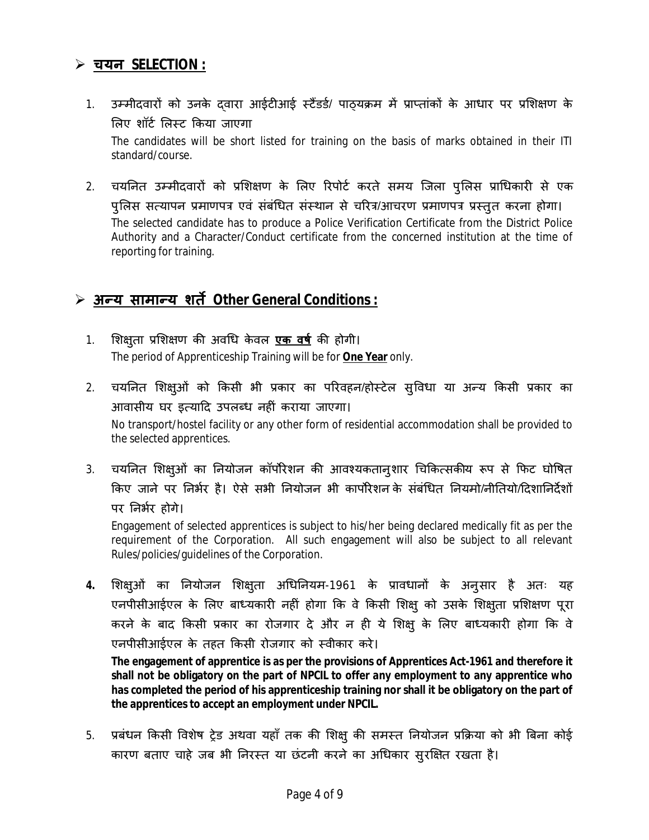### **चयन SELECTION :**

- 1. उम्मीदवारों को उनके दवारा आईटीआई स्टैंडर्ड/ पाठ्यक्रम में प्राप्तांकों के आधार पर प्रशिक्षण के लिए शॉर्ट लिस्ट किया जाएगा The candidates will be short listed for training on the basis of marks obtained in their ITI standard/course.
- 2. चयनित उम्मीदवारों को प्रशिक्षण के लिए रिपोर्ट करते समय जिला पुलिस प्राधिकारी से एक पुलिस सत्यापन प्रमाणपत्र एवं संबंधित संस्थान से चरित्र/आचरण प्रमाणपत्र प्रस्तुत करना होगा। The selected candidate has to produce a Police Verification Certificate from the District Police Authority and a Character/Conduct certificate from the concerned institution at the time of reporting for training.

## **अÛय सामाÛय शतȶ Other General Conditions :**

- 1. शिक्षुता प्रशिक्षण की अवधि केवल <mark>एक वर्ष</mark> की होगी। The period of Apprenticeship Training will be for **One Year** only.
- 2. चयनित शिक्षुओं को किसी भी प्रकार का परिवहन/होस्टेल सुविधा या अन्य किसी प्रकार का आवासीय घर इत्यादि उपलब्ध नहीं कराया जाएगा। No transport/hostel facility or any other form of residential accommodation shall be provided to the selected apprentices.
- 3. चयनित शिक्ष्3ों का नियोजन कॉर्पोरेशन की आवश्यकतान्9शार चिकित्सकीय रूप से फिट घोषित किए जाने पर निर्भर है। ऐसे सभी नियोजन भी कार्पोरेशन के संबंधित नियमो/नीतियो/दिशानिर्देशों पर निर्भर होगे।

Engagement of selected apprentices is subject to his/her being declared medically fit as per the requirement of the Corporation. All such engagement will also be subject to all relevant Rules/policies/guidelines of the Corporation.

4. शिक्षुओं का नियोजन शिक्षुता अधिनियम-1961 के प्रावधानों के अनुसार है अतः यह एनपीसीआईएल के लिए बाध्यकारी नहीं होगा कि वे किसी शिक्षु को उसके शिक्षुता प्रशिक्षण पूरा करने के बाद किसी प्रकार का रोजगार दे और न ही ये शिक्षु के लिए बाध्यकारी होगा कि वे एनपीसीआईएल के तहत किसी रोजगार को स्वीकार करे।

**The engagement of apprentice is as per the provisions of Apprentices Act-1961 and therefore it shall not be obligatory on the part of NPCIL to offer any employment to any apprentice who has completed the period of his apprenticeship training nor shall it be obligatory on the part of the apprentices to accept an employment under NPCIL.**

5. प्रबंधन किसी विशेष ट्रेड अथवा यहाँ तक की शिक्षु की समस्त नियोजन प्रक्रिया को भी बिना कोई कारण बताए चाहे जब भी निरस्त या छंटनी करने का अधिकार सुरक्षित रखता है।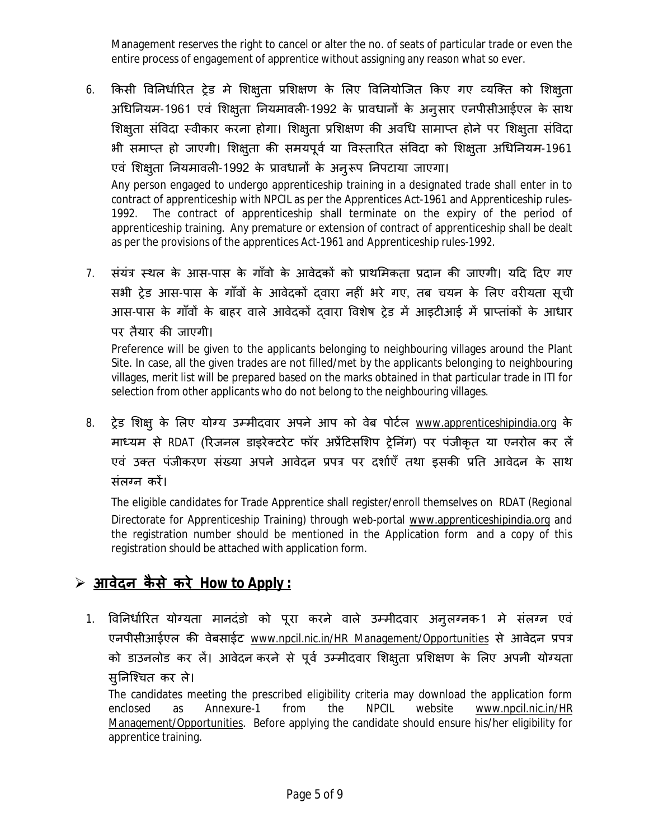Management reserves the right to cancel or alter the no. of seats of particular trade or even the entire process of engagement of apprentice without assigning any reason what so ever.

6. किसी विनिर्धारित ट्रेड मे शिक्षुता प्रशिक्षण के लिए विनियोजित किए गए व्यक्ति को शिक्षुता अधिनियम-1961 एवं शिक्षुता नियमावली-1992 के प्रावधानों के अनुसार एनपीसीआईएल के साथ शिक्षुता संविदा स्वीकार करना होगा। शिक्षुता प्रशिक्षण की अवधि सामाप्त होने पर शिक्षुता संविदा भी समाप्त हो जाएगी। शिक्षुता की समयपूर्व या विस्तारित संविदा को शिक्षुता अधिनियम-1961 एवं शिक्षुता नियमावली-1992 के प्रावधानों के अनुरूप निपटाया जाएगा।

Any person engaged to undergo apprenticeship training in a designated trade shall enter in to contract of apprenticeship with NPCIL as per the Apprentices Act-1961 and Apprenticeship rules-1992. The contract of apprenticeship shall terminate on the expiry of the period of apprenticeship training. Any premature or extension of contract of apprenticeship shall be dealt as per the provisions of the apprentices Act-1961 and Apprenticeship rules-1992.

7. संयंत्र स्थल के आस-पास के गाँवो के आवेदकों को प्राथमिकता प्रदान की जाएगी। यदि दिए गए सभी ट्रेड आस-पास के गाँवों के आवेदकों दवारा नहीं भरे गए, तब चयन के लिए वरीयता सूची आस-पास के गाँवों के बाहर वाले आवेदकों दवारा विशेष ट्रेड में आइटीआई में प्राप्तांकों के आधार पर तैयार की जाएगी।

Preference will be given to the applicants belonging to neighbouring villages around the Plant Site. In case, all the given trades are not filled/met by the applicants belonging to neighbouring villages, merit list will be prepared based on the marks obtained in that particular trade in ITI for selection from other applicants who do not belong to the neighbouring villages.

8. ट्रेड शिक्ष् के लिए योग्य उम्मीदवार अपने आप को वेब पोर्टल <u>www.apprenticeshipindia.org</u> के माध्यम से RDAT (रिजनल डाइरेक्टरेट फॉर अप्रेंटिसशिप ट्रेनिंग) पर पंजीकृत या एनरोल कर लें एवं उक्त पंजीकरण संख्या अपने आवेदन प्रपत्र पर दर्शाएँ तथा इसकी प्रति आवेदन के साथ संलग्न करें।

The eligible candidates for Trade Apprentice shall register/enroll themselves on RDAT (Regional Directorate for Apprenticeship Training) through web-portal www.apprenticeshipindia.org and the registration number should be mentioned in the Application form and a copy of this registration should be attached with application form.

## **आवेदन कै से करे How to Apply :**

1. विनिर्धारित योग्यता मानदंडो को पूरा करने वाले उम्मीदवार अनुलग्नक-1 मे संलग्न एवं एनपीसीआईएल की वेबसाईट www.npcil.nic.in/HR Management/Opportunities से आवेदन प्रपत्र को डाउनलोड कर लें। आवेदन करने से पूर्व उम्मीदवार शिक्षुता प्रशिक्षण के लिए अपनी योग्यता सुनिश्चित कर ले।

The candidates meeting the prescribed eligibility criteria may download the application form enclosed as Annexure-1 from the NPCIL website www.npcil.nic.in/HR Management/Opportunities. Before applying the candidate should ensure his/her eligibility for apprentice training.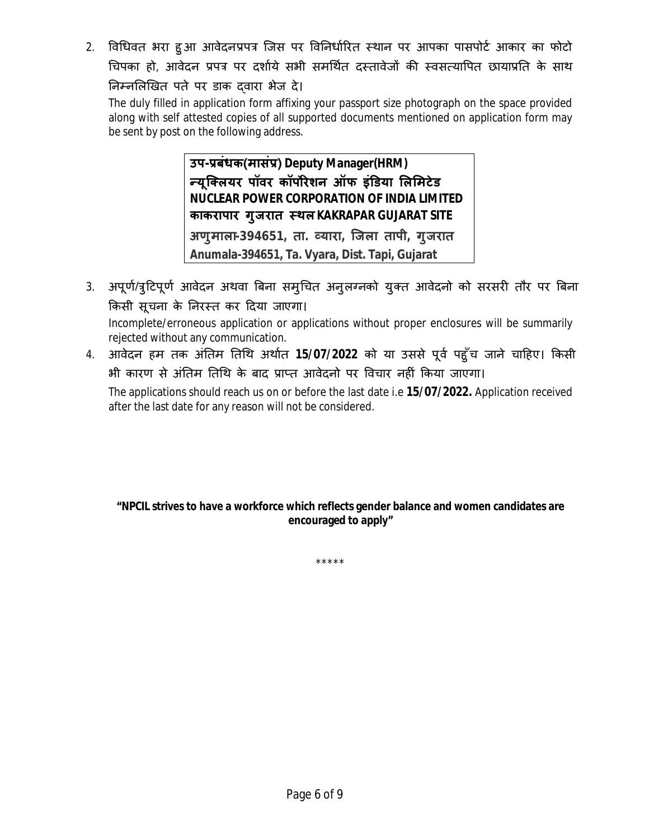2. विधिवत भरा हुआ आवेदनप्रपत्र जिस पर विनिर्धारित स्थान पर आपका पासपोर्ट आकार का फोटो चिपका हो, आवेदन प्रपत्र पर दर्शाये सभी समर्थित दस्तावेजों की स्वसत्यापित छायाप्रति के साथ निम्नलिखित पते पर डाक दवारा भेज दे।

The duly filled in application form affixing your passport size photograph on the space provided along with self attested copies of all supported documents mentioned on application form may be sent by post on the following address.

> **उप-Ĥबंधक(मासंĤ) Deputy Manager(HRM) Ûयू िÈलयर पॉवर कॉपȾरेशन ऑफ इंͫडया ͧलͧमटेड NUCLEAR POWER CORPORATION OF INDIA LIMITED काकरापार गुजरात èथलKAKRAPAR GUJARAT SITE अणुमाला-394651, ता. åयारा, िजला तापी, गुजरात Anumala-394651, Ta. Vyara, Dist. Tapi, Gujarat**

3. अपूर्ण/त्रुटिपूर्ण आवेदन अथवा बिना समुचित अनुलग्नको युक्त आवेदनो को सरसरी तौर पर बिना किसी सूचना के निरस्त कर दिया जाएगा।

Incomplete/erroneous application or applications without proper enclosures will be summarily rejected without any communication.

4. आवेदन हम तक अंतिम तिथि अर्थात 15/07/2022 को या उससे पूर्व पहुँच जाने चाहिए। किसी भी कारण से अंतिम तिथि के बाद प्राप्त आवेदनो पर विचार नहीं किया जाएगा।

The applications should reach us on or before the last date i.e **15/07/2022.** Application received after the last date for any reason will not be considered.

**"NPCIL strives to have a workforce which reflects gender balance and women candidates are encouraged to apply"**

\*\*\*\*\*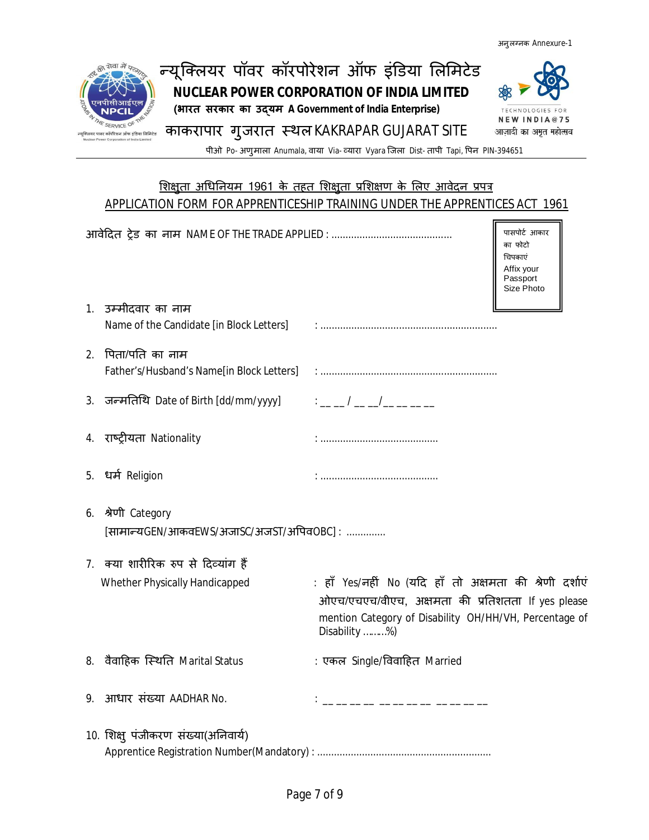

# APPLICATION FORM FOR APPRENTICESHIP TRAINING UNDER THE APPRENTICES ACT 1961

|    |                                                                 |                                                                                                                                                                                         | पासपोर्ट आकार<br>का फोटो<br>चिपकाएं<br>Affix your<br>Passport<br>Size Photo |
|----|-----------------------------------------------------------------|-----------------------------------------------------------------------------------------------------------------------------------------------------------------------------------------|-----------------------------------------------------------------------------|
|    | 1. उम्मीदवार का नाम<br>Name of the Candidate [in Block Letters] |                                                                                                                                                                                         |                                                                             |
| 2. | पिता/पति का नाम<br>Father's/Husband's Name[in Block Letters]    |                                                                                                                                                                                         |                                                                             |
|    | 3. जन्मतिथि Date of Birth [dd/mm/yyyy]                          | $\frac{1}{2}$ . $\frac{1}{2}$ . $\frac{1}{2}$ . $\frac{1}{2}$ . $\frac{1}{2}$ . $\frac{1}{2}$ . $\frac{1}{2}$                                                                           |                                                                             |
|    | 4. राष्ट्रीयता Nationality                                      |                                                                                                                                                                                         |                                                                             |
|    | 5. धर्म Religion                                                |                                                                                                                                                                                         |                                                                             |
| 6. | श्रेणी Category<br>[सामान्यGEN/आकवEWS/अजाSC/अजST/अपिवOBC] :     |                                                                                                                                                                                         |                                                                             |
|    | 7. क्या शारीरिक रुप से दिव्यांग हैं                             |                                                                                                                                                                                         |                                                                             |
|    | Whether Physically Handicapped                                  | : हाँ Yes/नहीं No (यदि हाँ तो अक्षमता की श्रेणी दर्शाएं<br>ओएच/एचएच/वीएच, अक्षमता की प्रतिशतता lf yes please<br>mention Category of Disability OH/HH/VH, Percentage of<br>Disability %) |                                                                             |
|    | 8. वैवाहिक स्थिति Marital Status                                | : एकल Single/विवाहित Married                                                                                                                                                            |                                                                             |
| 9. | आधार संख्या AADHAR No.                                          | ______________                                                                                                                                                                          |                                                                             |
|    | 10. शिक्षु पंजीकरण संख्या(अनिवार्य)                             |                                                                                                                                                                                         |                                                                             |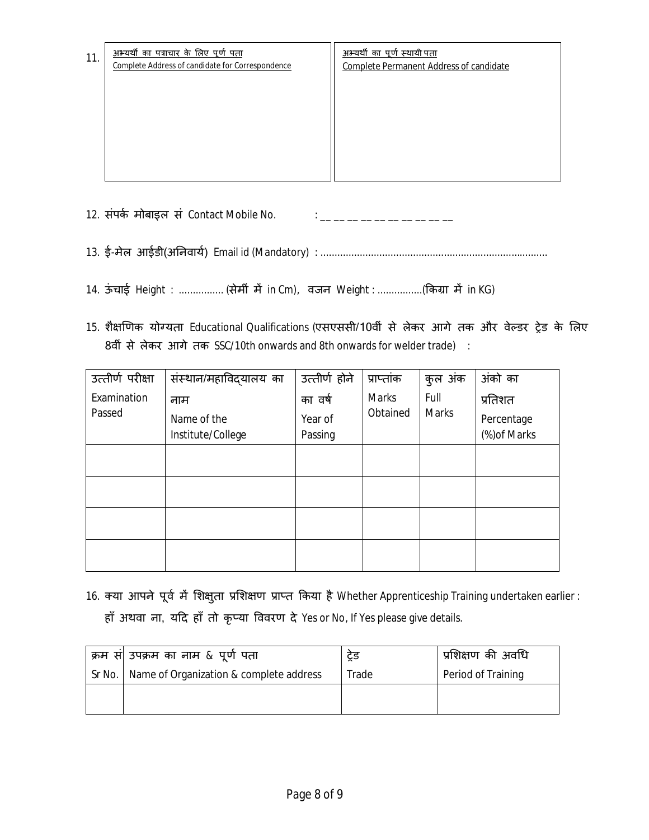| 11. | अभ्यर्थी का पत्राचार के लिए पूर्ण पता<br>Complete Address of candidate for Correspondence | <u>अभ्यर्थी का पूर्ण स्थायी पता</u><br><b>Complete Permanent Address of candidate</b> |
|-----|-------------------------------------------------------------------------------------------|---------------------------------------------------------------------------------------|
|     |                                                                                           |                                                                                       |
|     |                                                                                           |                                                                                       |
|     |                                                                                           |                                                                                       |

12. संपर्क मोबाइल सं Contact Mobile No.  $\cdot$  : \_ \_ \_ \_ \_ \_ \_ \_ \_ \_ \_

13. ई-मेल आईडी(अǓनवाय[) Email id (Mandatory) : .................................................................................

- 14. ऊंचाई Height : ................ (सेमीं में in Cm), वजन Weight : ................(किग्रा में in KG)
- 15. शैक्षणिक योग्यता Educational Qualifications (एसएससी/10वीं से लेकर आगे तक और वेल्डर ट्रेड के लिए 8वीं से लेकर आगे तक SSC/10th onwards and 8th onwards for welder trade) :

| उत्तीर्ण परीक्षा | संस्थान/महाविदयालय का | उत्तीर्ण होने | प्राप्तांक   | कुल अंक      | अंको का      |
|------------------|-----------------------|---------------|--------------|--------------|--------------|
| Examination      | नाम                   | का वर्ष       | <b>Marks</b> | Full         | प्रतिशत      |
| Passed           | Name of the           | Year of       | Obtained     | <b>Marks</b> | Percentage   |
|                  | Institute/College     | Passing       |              |              | (%) of Marks |
|                  |                       |               |              |              |              |
|                  |                       |               |              |              |              |
|                  |                       |               |              |              |              |
|                  |                       |               |              |              |              |
|                  |                       |               |              |              |              |
|                  |                       |               |              |              |              |
|                  |                       |               |              |              |              |

16. क्या आपने पूर्व में शिक्षुता प्रशिक्षण प्राप्त किया है Whether Apprenticeship Training undertaken earlier : हाँ अथवा ना, यदि हाँ तो कृप्या विवरण दे Yes or No, If Yes please give details.

| क्रम सं  उपक्रम का नाम & पूर्ण पता               | ਟ੍ਰੇਤ | प्रशिक्षण की अवधि  |
|--------------------------------------------------|-------|--------------------|
| Sr No.   Name of Organization & complete address | Trade | Period of Training |
|                                                  |       |                    |
|                                                  |       |                    |